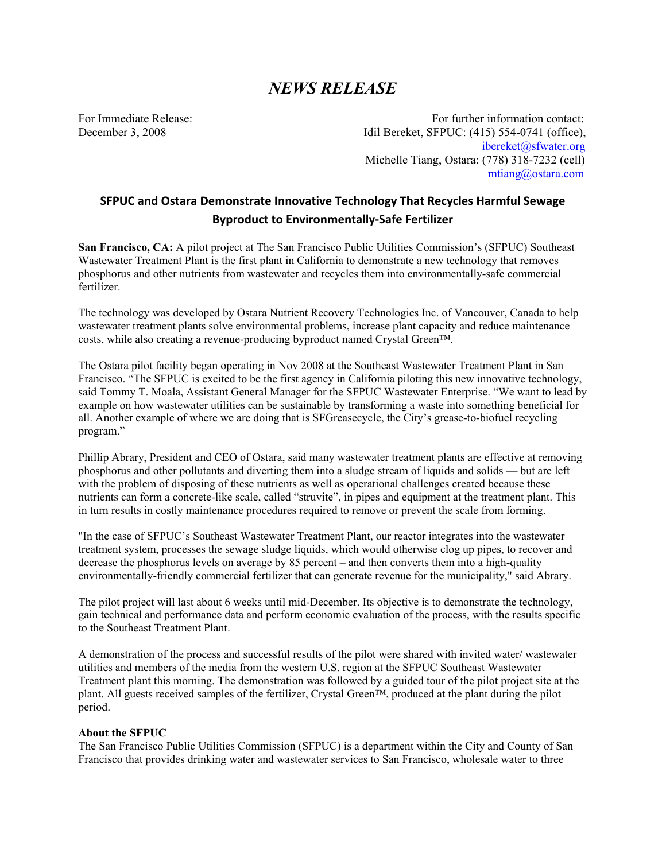## *NEWS RELEASE*

For Immediate Release:  $\blacksquare$  For further information contact: December 3, 2008 Idil Bereket, SFPUC: (415) 554-0741 (office), ibereket@sfwater.org Michelle Tiang, Ostara: (778) 318-7232 (cell) mtiang@ostara.com

## **SFPUC and Ostara Demonstrate Innovative Technology That Recycles Harmful Sewage Byproduct to Environmentally‐Safe Fertilizer**

**San Francisco, CA:** A pilot project at The San Francisco Public Utilities Commission's (SFPUC) Southeast Wastewater Treatment Plant is the first plant in California to demonstrate a new technology that removes phosphorus and other nutrients from wastewater and recycles them into environmentally-safe commercial fertilizer.

The technology was developed by Ostara Nutrient Recovery Technologies Inc. of Vancouver, Canada to help wastewater treatment plants solve environmental problems, increase plant capacity and reduce maintenance costs, while also creating a revenue-producing byproduct named Crystal Green™.

The Ostara pilot facility began operating in Nov 2008 at the Southeast Wastewater Treatment Plant in San Francisco. "The SFPUC is excited to be the first agency in California piloting this new innovative technology, said Tommy T. Moala, Assistant General Manager for the SFPUC Wastewater Enterprise. "We want to lead by example on how wastewater utilities can be sustainable by transforming a waste into something beneficial for all. Another example of where we are doing that is SFGreasecycle, the City's grease-to-biofuel recycling program."

Phillip Abrary, President and CEO of Ostara, said many wastewater treatment plants are effective at removing phosphorus and other pollutants and diverting them into a sludge stream of liquids and solids — but are left with the problem of disposing of these nutrients as well as operational challenges created because these nutrients can form a concrete-like scale, called "struvite", in pipes and equipment at the treatment plant. This in turn results in costly maintenance procedures required to remove or prevent the scale from forming.

"In the case of SFPUC's Southeast Wastewater Treatment Plant, our reactor integrates into the wastewater treatment system, processes the sewage sludge liquids, which would otherwise clog up pipes, to recover and decrease the phosphorus levels on average by 85 percent – and then converts them into a high-quality environmentally-friendly commercial fertilizer that can generate revenue for the municipality," said Abrary.

The pilot project will last about 6 weeks until mid-December. Its objective is to demonstrate the technology, gain technical and performance data and perform economic evaluation of the process, with the results specific to the Southeast Treatment Plant.

A demonstration of the process and successful results of the pilot were shared with invited water/ wastewater utilities and members of the media from the western U.S. region at the SFPUC Southeast Wastewater Treatment plant this morning. The demonstration was followed by a guided tour of the pilot project site at the plant. All guests received samples of the fertilizer, Crystal Green™, produced at the plant during the pilot period.

## **About the SFPUC**

The San Francisco Public Utilities Commission (SFPUC) is a department within the City and County of San Francisco that provides drinking water and wastewater services to San Francisco, wholesale water to three